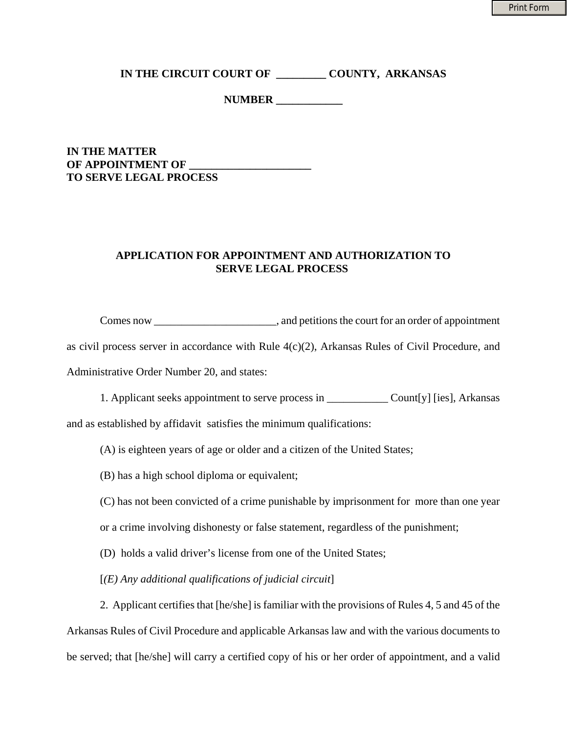**IN THE CIRCUIT COURT OF \_\_\_\_\_\_\_\_\_ COUNTY, ARKANSAS**

**NUMBER \_\_\_\_\_\_\_\_\_\_\_\_**

## **IN THE MATTER OF APPOINTMENT OF TO SERVE LEGAL PROCESS**

## **APPLICATION FOR APPOINTMENT AND AUTHORIZATION TO SERVE LEGAL PROCESS**

Comes now \_\_\_\_\_\_\_\_\_\_\_\_\_\_\_\_\_\_\_\_\_\_\_, and petitions the court for an order of appointment

as civil process server in accordance with Rule 4(c)(2), Arkansas Rules of Civil Procedure, and Administrative Order Number 20, and states:

1. Applicant seeks appointment to serve process in \_\_\_\_\_\_\_\_\_\_\_ Count[y] [ies], Arkansas

and as established by affidavit satisfies the minimum qualifications:

(A) is eighteen years of age or older and a citizen of the United States;

(B) has a high school diploma or equivalent;

(C) has not been convicted of a crime punishable by imprisonment for more than one year

or a crime involving dishonesty or false statement, regardless of the punishment;

(D) holds a valid driver's license from one of the United States;

[*(E) Any additional qualifications of judicial circuit*]

2. Applicant certifies that [he/she] is familiar with the provisions of Rules 4, 5 and 45 of the

Arkansas Rules of Civil Procedure and applicable Arkansas law and with the various documents to

be served; that [he/she] will carry a certified copy of his or her order of appointment, and a valid